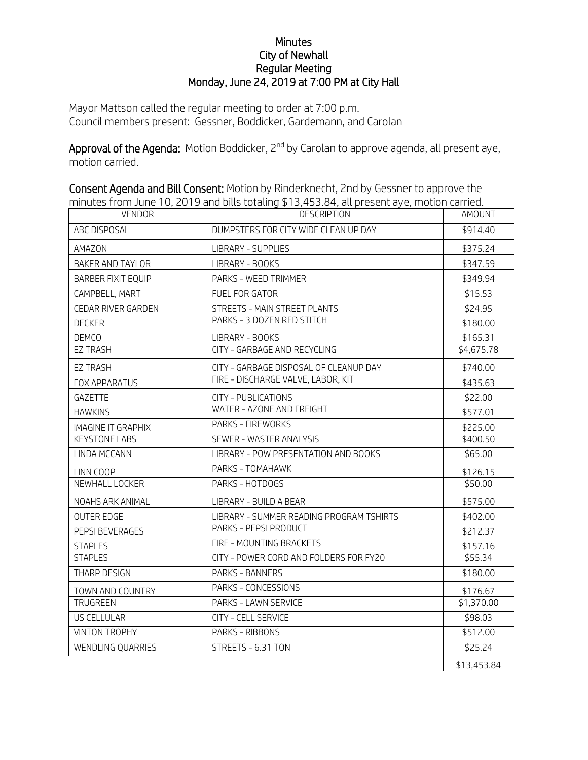## **Minutes** City of Newhall Regular Meeting Monday, June 24, 2019 at 7:00 PM at City Hall

Mayor Mattson called the regular meeting to order at 7:00 p.m. Council members present: Gessner, Boddicker, Gardemann, and Carolan

Approval of the Agenda: Motion Boddicker, 2<sup>nd</sup> by Carolan to approve agenda, all present aye, motion carried.

| minutes from June 10, 2019 and bills totaling \$13,453.84, all present aye, motion carried. |                                          |             |
|---------------------------------------------------------------------------------------------|------------------------------------------|-------------|
| <b>VENDOR</b>                                                                               | <b>DESCRIPTION</b>                       | AMOUNT      |
| ABC DISPOSAL                                                                                | DUMPSTERS FOR CITY WIDE CLEAN UP DAY     | \$914.40    |
| AMAZON                                                                                      | <b>LIBRARY - SUPPLIES</b>                | \$375.24    |
| BAKER AND TAYLOR                                                                            | LIBRARY - BOOKS                          | \$347.59    |
| <b>BARBER FIXIT EQUIP</b>                                                                   | PARKS - WEED TRIMMER                     | \$349.94    |
| CAMPBELL, MART                                                                              | FUEL FOR GATOR                           | \$15.53     |
| CEDAR RIVER GARDEN                                                                          | STREETS - MAIN STREET PLANTS             | \$24.95     |
| <b>DECKER</b>                                                                               | PARKS - 3 DOZEN RED STITCH               | \$180.00    |
| <b>DEMCO</b>                                                                                | LIBRARY - BOOKS                          | \$165.31    |
| <b>EZ TRASH</b>                                                                             | CITY - GARBAGE AND RECYCLING             | \$4,675.78  |
| <b>EZ TRASH</b>                                                                             | CITY - GARBAGE DISPOSAL OF CLEANUP DAY   | \$740.00    |
| FOX APPARATUS                                                                               | FIRE - DISCHARGE VALVE, LABOR, KIT       | \$435.63    |
| GAZETTE                                                                                     | <b>CITY - PUBLICATIONS</b>               | \$22.00     |
| <b>HAWKINS</b>                                                                              | WATER - AZONE AND FREIGHT                | \$577.01    |
| IMAGINE IT GRAPHIX                                                                          | PARKS - FIREWORKS                        | \$225.00    |
| <b>KEYSTONE LABS</b>                                                                        | SEWER - WASTER ANALYSIS                  | \$400.50    |
| LINDA MCCANN                                                                                | LIBRARY - POW PRESENTATION AND BOOKS     | \$65.00     |
| LINN COOP                                                                                   | PARKS - TOMAHAWK                         | \$126.15    |
| NEWHALL LOCKER                                                                              | PARKS - HOTDOGS                          | \$50.00     |
| NOAHS ARK ANIMAL                                                                            | LIBRARY - BUILD A BEAR                   | \$575.00    |
| OUTER EDGE                                                                                  | LIBRARY - SUMMER READING PROGRAM TSHIRTS | \$402.00    |
| PEPSI BEVERAGES                                                                             | PARKS - PEPSI PRODUCT                    | \$212.37    |
| <b>STAPLES</b>                                                                              | FIRE - MOUNTING BRACKETS                 | \$157.16    |
| <b>STAPLES</b>                                                                              | CITY - POWER CORD AND FOLDERS FOR FY20   | \$55.34     |
| THARP DESIGN                                                                                | PARKS - BANNERS                          | \$180.00    |
| TOWN AND COUNTRY                                                                            | PARKS - CONCESSIONS                      | \$176.67    |
| TRUGREEN                                                                                    | PARKS - LAWN SERVICE                     | \$1,370.00  |
| US CELLULAR                                                                                 | <b>CITY - CELL SERVICE</b>               | \$98.03     |
| <b>VINTON TROPHY</b>                                                                        | PARKS - RIBBONS                          | \$512.00    |
| WENDLING QUARRIES                                                                           | STREETS - 6.31 TON                       | \$25.24     |
|                                                                                             |                                          | \$13,453.84 |

Consent Agenda and Bill Consent: Motion by Rinderknecht, 2nd by Gessner to approve the